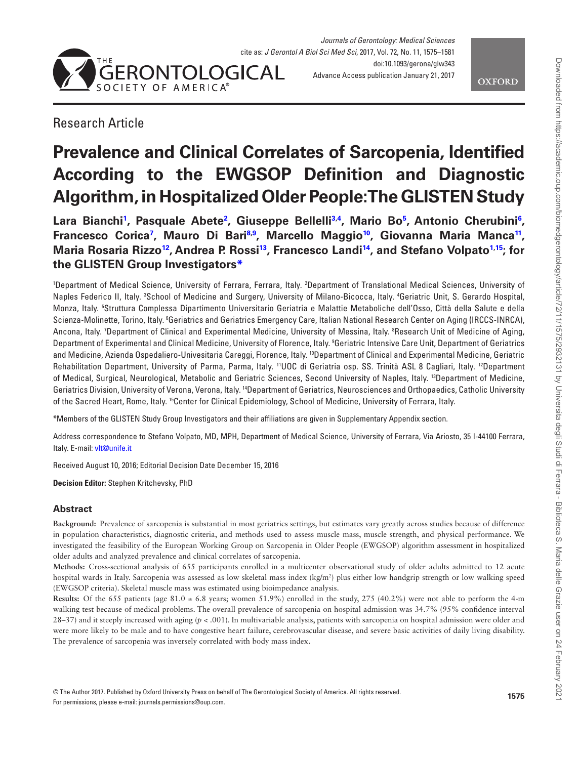

## Research Article

# **Prevalence and Clinical Correlates of Sarcopenia, Identified According to the EWGSOP Definition and Diagnostic Algorithm, in Hospitalized Older People: The GLISTEN Study**

**Lara Bianchi[1](#page-0-0) , Pasquale Abete[2](#page-0-1) , Giuseppe Bellelli[3,](#page-0-2)[4](#page-0-3) , Mario Bo[5](#page-0-4) , Antonio Cherubini[6](#page-0-5) , Francesco Coric[a7](#page-0-6) , Mauro Di Bar[i8](#page-0-7)[,9](#page-0-8) , Marcello Maggi[o10](#page-0-9), Giovanna Maria Manc[a11,](#page-0-10) Maria Rosaria Rizzo[12,](#page-0-11) Andrea P. Ross[i13,](#page-0-12) Francesco Landi[14](#page-0-13), and Stefano Volpato[1](#page-0-0)[,15](#page-0-14); for the GLISTEN Group Investigators[\\*](#page-0-15)**

<span id="page-0-8"></span><span id="page-0-7"></span><span id="page-0-6"></span><span id="page-0-5"></span><span id="page-0-4"></span><span id="page-0-3"></span><span id="page-0-2"></span><span id="page-0-1"></span><span id="page-0-0"></span>'Department of Medical Science, University of Ferrara, Ferrara, Italy. <sup>2</sup>Department of Translational Medical Sciences, University of Naples Federico II, Italy. <sup>3</sup>School of Medicine and Surgery, University of Milano-Bicocca, Italy. <sup>4</sup>Geriatric Unit, S. Gerardo Hospital, Monza, Italy. 5 Struttura Complessa Dipartimento Universitario Geriatria e Malattie Metaboliche dell'Osso, Città della Salute e della Scienza-Molinette, Torino, Italy. 6 Geriatrics and Geriatrics Emergency Care, Italian National Research Center on Aging (IRCCS-INRCA), Ancona, Italy. <sup>7</sup>Department of Clinical and Experimental Medicine, University of Messina, Italy. <sup>8</sup>Research Unit of Medicine of Aging, Department of Experimental and Clinical Medicine, University of Florence, Italy. 9 Geriatric Intensive Care Unit, Department of Geriatrics and Medicine, Azienda Ospedaliero-Univesitaria Careggi, Florence, Italy. <sup>10</sup>Department of Clinical and Experimental Medicine, Geriatric Rehabilitation Department, University of Parma, Parma, Italy. 11UOC di Geriatria osp. SS. Trinità ASL 8 Cagliari, Italy. 12Department of Medical, Surgical, Neurological, Metabolic and Geriatric Sciences, Second University of Naples, Italy. 13Department of Medicine, Geriatrics Division, University of Verona, Verona, Italy. 14Department of Geriatrics, Neurosciences and Orthopaedics, Catholic University of the Sacred Heart, Rome, Italy. 15Center for Clinical Epidemiology, School of Medicine, University of Ferrara, Italy.

<span id="page-0-15"></span><span id="page-0-14"></span><span id="page-0-13"></span><span id="page-0-12"></span><span id="page-0-11"></span><span id="page-0-10"></span><span id="page-0-9"></span>\*Members of the GLISTEN Study Group Investigators and their affiliations are given in Supplementary Appendix section.

Address correspondence to Stefano Volpato, MD, MPH, Department of Medical Science, University of Ferrara, Via Ariosto, 35 I-44100 Ferrara, Italy. E-mail: [vlt@unife.it](mailto:vlt@unife.it?subject=)

Received August 10, 2016; Editorial Decision Date December 15, 2016

**Decision Editor:** Stephen Kritchevsky, PhD

### **Abstract**

**Background:** Prevalence of sarcopenia is substantial in most geriatrics settings, but estimates vary greatly across studies because of difference in population characteristics, diagnostic criteria, and methods used to assess muscle mass, muscle strength, and physical performance. We investigated the feasibility of the European Working Group on Sarcopenia in Older People (EWGSOP) algorithm assessment in hospitalized older adults and analyzed prevalence and clinical correlates of sarcopenia.

**Methods:** Cross-sectional analysis of 655 participants enrolled in a multicenter observational study of older adults admitted to 12 acute hospital wards in Italy. Sarcopenia was assessed as low skeletal mass index (kg/m2 ) plus either low handgrip strength or low walking speed (EWGSOP criteria). Skeletal muscle mass was estimated using bioimpedance analysis.

**Results:** Of the 655 patients (age 81.0 ± 6.8 years; women 51.9%) enrolled in the study, 275 (40.2%) were not able to perform the 4-m walking test because of medical problems. The overall prevalence of sarcopenia on hospital admission was 34.7% (95% confidence interval 28–37) and it steeply increased with aging (*p* < .001). In multivariable analysis, patients with sarcopenia on hospital admission were older and were more likely to be male and to have congestive heart failure, cerebrovascular disease, and severe basic activities of daily living disability. The prevalence of sarcopenia was inversely correlated with body mass index.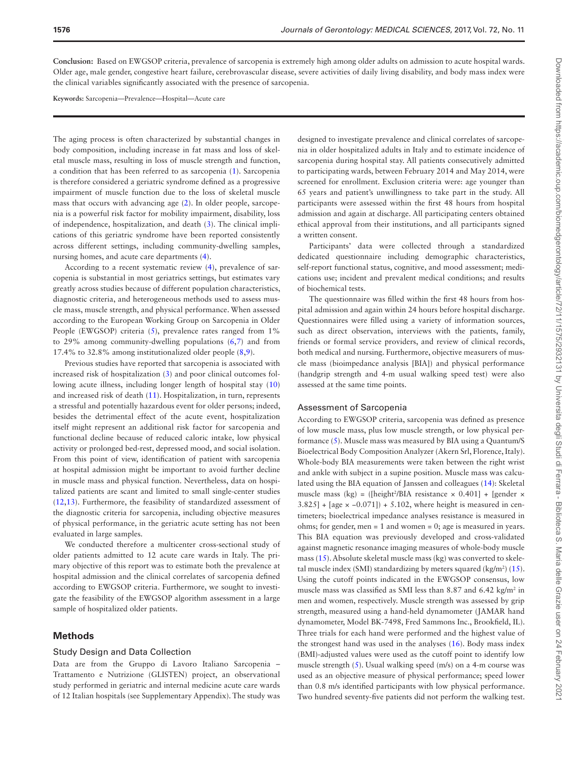**Conclusion:** Based on EWGSOP criteria, prevalence of sarcopenia is extremely high among older adults on admission to acute hospital wards. Older age, male gender, congestive heart failure, cerebrovascular disease, severe activities of daily living disability, and body mass index were the clinical variables significantly associated with the presence of sarcopenia.

**Keywords:** Sarcopenia—Prevalence—Hospital—Acute care

The aging process is often characterized by substantial changes in body composition, including increase in fat mass and loss of skeletal muscle mass, resulting in loss of muscle strength and function, a condition that has been referred to as sarcopenia [\(1](#page-5-0)). Sarcopenia is therefore considered a geriatric syndrome defined as a progressive impairment of muscle function due to the loss of skeletal muscle mass that occurs with advancing age ([2](#page-5-1)). In older people, sarcopenia is a powerful risk factor for mobility impairment, disability, loss of independence, hospitalization, and death ([3](#page-5-2)). The clinical implications of this geriatric syndrome have been reported consistently across different settings, including community-dwelling samples, nursing homes, and acute care departments ([4](#page-5-3)).

According to a recent systematic review [\(4\)](#page-5-3), prevalence of sarcopenia is substantial in most geriatrics settings, but estimates vary greatly across studies because of different population characteristics, diagnostic criteria, and heterogeneous methods used to assess muscle mass, muscle strength, and physical performance. When assessed according to the European Working Group on Sarcopenia in Older People (EWGSOP) criteria [\(5\)](#page-5-4), prevalence rates ranged from 1% to 29% among community-dwelling populations [\(6](#page-5-5),[7](#page-5-6)) and from 17.4% to 32.8% among institutionalized older people ([8](#page-5-7)[,9\)](#page-5-8).

Previous studies have reported that sarcopenia is associated with increased risk of hospitalization [\(3\)](#page-5-2) and poor clinical outcomes following acute illness, including longer length of hospital stay [\(10\)](#page-5-9) and increased risk of death ([11\)](#page-5-10). Hospitalization, in turn, represents a stressful and potentially hazardous event for older persons; indeed, besides the detrimental effect of the acute event, hospitalization itself might represent an additional risk factor for sarcopenia and functional decline because of reduced caloric intake, low physical activity or prolonged bed-rest, depressed mood, and social isolation. From this point of view, identification of patient with sarcopenia at hospital admission might be important to avoid further decline in muscle mass and physical function. Nevertheless, data on hospitalized patients are scant and limited to small single-center studies [\(12](#page-5-11)[,13](#page-5-12)). Furthermore, the feasibility of standardized assessment of the diagnostic criteria for sarcopenia, including objective measures of physical performance, in the geriatric acute setting has not been evaluated in large samples.

We conducted therefore a multicenter cross-sectional study of older patients admitted to 12 acute care wards in Italy. The primary objective of this report was to estimate both the prevalence at hospital admission and the clinical correlates of sarcopenia defined according to EWGSOP criteria. Furthermore, we sought to investigate the feasibility of the EWGSOP algorithm assessment in a large sample of hospitalized older patients.

#### **Methods**

#### Study Design and Data Collection

Data are from the Gruppo di Lavoro Italiano Sarcopenia – Trattamento e Nutrizione (GLISTEN) project, an observational study performed in geriatric and internal medicine acute care wards of 12 Italian hospitals (see Supplementary Appendix). The study was

designed to investigate prevalence and clinical correlates of sarcopenia in older hospitalized adults in Italy and to estimate incidence of sarcopenia during hospital stay. All patients consecutively admitted to participating wards, between February 2014 and May 2014, were screened for enrollment. Exclusion criteria were: age younger than 65 years and patient's unwillingness to take part in the study. All participants were assessed within the first 48 hours from hospital admission and again at discharge. All participating centers obtained ethical approval from their institutions, and all participants signed a written consent.

Participants' data were collected through a standardized dedicated questionnaire including demographic characteristics, self-report functional status, cognitive, and mood assessment; medications use; incident and prevalent medical conditions; and results of biochemical tests.

The questionnaire was filled within the first 48 hours from hospital admission and again within 24 hours before hospital discharge. Questionnaires were filled using a variety of information sources, such as direct observation, interviews with the patients, family, friends or formal service providers, and review of clinical records, both medical and nursing. Furthermore, objective measurers of muscle mass (bioimpedance analysis [BIA]) and physical performance (handgrip strength and 4-m usual walking speed test) were also assessed at the same time points.

#### Assessment of Sarcopenia

According to EWGSOP criteria, sarcopenia was defined as presence of low muscle mass, plus low muscle strength, or low physical performance ([5](#page-5-4)). Muscle mass was measured by BIA using a Quantum/S Bioelectrical Body Composition Analyzer (Akern Srl, Florence, Italy). Whole-body BIA measurements were taken between the right wrist and ankle with subject in a supine position. Muscle mass was calculated using the BIA equation of Janssen and colleagues [\(14](#page-5-13)): Skeletal muscle mass (kg) = ([height<sup>2</sup>/BIA resistance  $\times$  0.401] + [gender  $\times$ 3.825] + [age × −0.071]) + 5.102, where height is measured in centimeters; bioelectrical impedance analyses resistance is measured in ohms; for gender, men  $= 1$  and women  $= 0$ ; age is measured in years. This BIA equation was previously developed and cross-validated against magnetic resonance imaging measures of whole-body muscle mass ([15\)](#page-5-14). Absolute skeletal muscle mass (kg) was converted to skeletal muscle index (SMI) standardizing by meters squared (kg/m<sup>2</sup>)  $(15)$  $(15)$ . Using the cutoff points indicated in the EWGSOP consensus, low muscle mass was classified as SMI less than 8.87 and 6.42 kg/m<sup>2</sup> in men and women, respectively. Muscle strength was assessed by grip strength, measured using a hand-held dynamometer (JAMAR hand dynamometer, Model BK-7498, Fred Sammons Inc., Brookfield, IL). Three trials for each hand were performed and the highest value of the strongest hand was used in the analyses [\(16](#page-5-15)). Body mass index (BMI)-adjusted values were used as the cutoff point to identify low muscle strength [\(5\)](#page-5-4). Usual walking speed (m/s) on a 4-m course was used as an objective measure of physical performance; speed lower than 0.8 m/s identified participants with low physical performance. Two hundred seventy-five patients did not perform the walking test.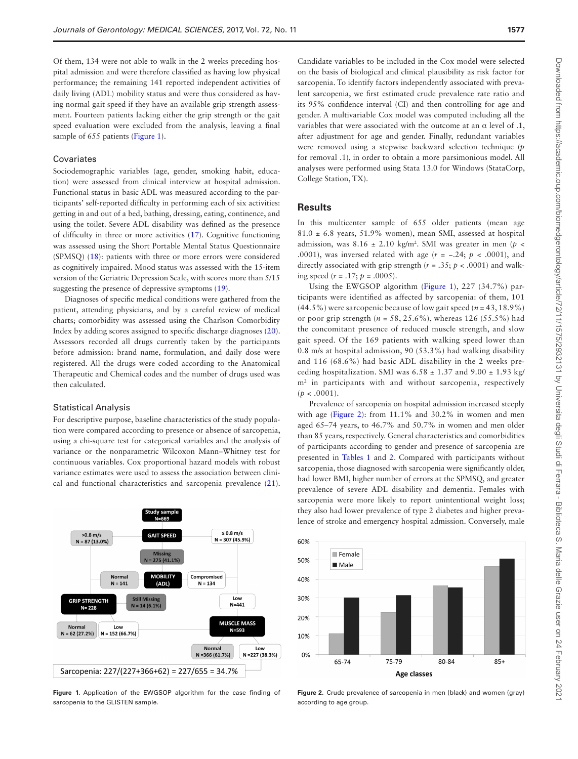Of them, 134 were not able to walk in the 2 weeks preceding hospital admission and were therefore classified as having low physical performance; the remaining 141 reported independent activities of daily living (ADL) mobility status and were thus considered as having normal gait speed if they have an available grip strength assessment. Fourteen patients lacking either the grip strength or the gait speed evaluation were excluded from the analysis, leaving a final sample of 655 patients ([Figure 1](#page-2-0)).

#### Covariates

Sociodemographic variables (age, gender, smoking habit, education) were assessed from clinical interview at hospital admission. Functional status in basic ADL was measured according to the participants' self-reported difficulty in performing each of six activities: getting in and out of a bed, bathing, dressing, eating, continence, and using the toilet. Severe ADL disability was defined as the presence of difficulty in three or more activities [\(17](#page-5-16)). Cognitive functioning was assessed using the Short Portable Mental Status Questionnaire (SPMSQ) ([18\)](#page-5-17): patients with three or more errors were considered as cognitively impaired. Mood status was assessed with the 15-item version of the Geriatric Depression Scale, with scores more than 5/15 suggesting the presence of depressive symptoms ([19](#page-5-18)).

Diagnoses of specific medical conditions were gathered from the patient, attending physicians, and by a careful review of medical charts; comorbidity was assessed using the Charlson Comorbidity Index by adding scores assigned to specific discharge diagnoses [\(20](#page-5-19)). Assessors recorded all drugs currently taken by the participants before admission: brand name, formulation, and daily dose were registered. All the drugs were coded according to the Anatomical Therapeutic and Chemical codes and the number of drugs used was then calculated.

#### Statistical Analysis

For descriptive purpose, baseline characteristics of the study population were compared according to presence or absence of sarcopenia, using a chi-square test for categorical variables and the analysis of variance or the nonparametric Wilcoxon Mann–Whitney test for continuous variables. Cox proportional hazard models with robust variance estimates were used to assess the association between clinical and functional characteristics and sarcopenia prevalence [\(21](#page-5-20)).



<span id="page-2-0"></span>**Figure 1.** Application of the EWGSOP algorithm for the case finding of sarcopenia to the GLISTEN sample.

Candidate variables to be included in the Cox model were selected on the basis of biological and clinical plausibility as risk factor for sarcopenia. To identify factors independently associated with prevalent sarcopenia, we first estimated crude prevalence rate ratio and its 95% confidence interval (CI) and then controlling for age and gender. A multivariable Cox model was computed including all the variables that were associated with the outcome at an  $\alpha$  level of .1, after adjustment for age and gender. Finally, redundant variables were removed using a stepwise backward selection technique (*p* for removal .1), in order to obtain a more parsimonious model. All analyses were performed using Stata 13.0 for Windows (StataCorp, College Station, TX).

#### **Results**

In this multicenter sample of 655 older patients (mean age  $81.0 \pm 6.8$  years,  $51.9\%$  women), mean SMI, assessed at hospital admission, was  $8.16 \pm 2.10$  kg/m<sup>2</sup>. SMI was greater in men ( $p <$ .0001), was inversed related with age ( $r = -.24$ ;  $p < .0001$ ), and directly associated with grip strength  $(r = .35; p < .0001)$  and walking speed ( $r = .17$ ;  $p = .0005$ ).

Using the EWGSOP algorithm ([Figure 1\)](#page-2-0), 227 (34.7%) participants were identified as affected by sarcopenia: of them, 101  $(44.5\%)$  were sarcopenic because of low gait speed  $(n = 43, 18.9\%)$ or poor grip strength ( $n = 58, 25.6\%$ ), whereas 126 (55.5%) had the concomitant presence of reduced muscle strength, and slow gait speed. Of the 169 patients with walking speed lower than 0.8 m/s at hospital admission, 90 (53.3%) had walking disability and 116 (68.6%) had basic ADL disability in the 2 weeks preceding hospitalization. SMI was  $6.58 \pm 1.37$  and  $9.00 \pm 1.93$  kg/ m<sup>2</sup> in participants with and without sarcopenia, respectively  $(p < .0001)$ .

Prevalence of sarcopenia on hospital admission increased steeply with age [\(Figure 2\)](#page-2-1): from 11.1% and 30.2% in women and men aged 65–74 years, to 46.7% and 50.7% in women and men older than 85 years, respectively. General characteristics and comorbidities of participants according to gender and presence of sarcopenia are presented in [Tables 1](#page-3-0) and [2.](#page-3-1) Compared with participants without sarcopenia, those diagnosed with sarcopenia were significantly older, had lower BMI, higher number of errors at the SPMSQ, and greater prevalence of severe ADL disability and dementia. Females with sarcopenia were more likely to report unintentional weight loss; they also had lower prevalence of type 2 diabetes and higher prevalence of stroke and emergency hospital admission. Conversely, male



<span id="page-2-1"></span>**Figure 2.** Crude prevalence of sarcopenia in men (black) and women (gray) according to age group.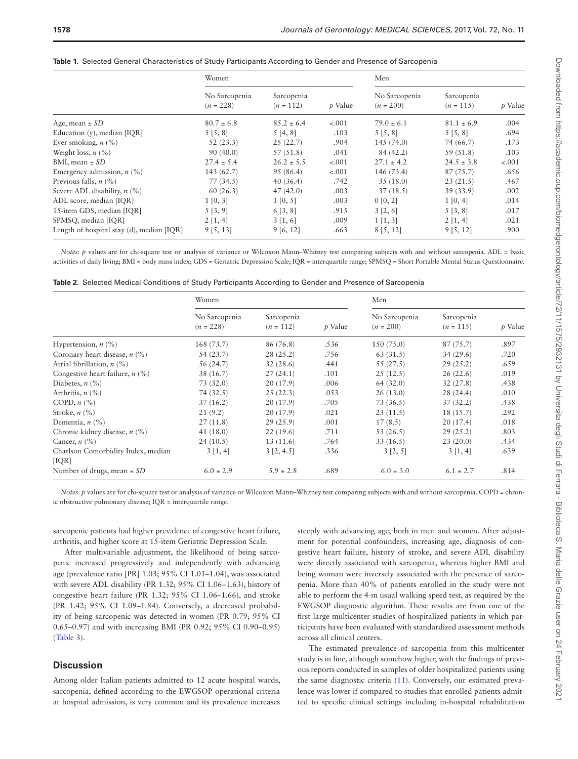|                                           | Women                        |                           |         | Men                          |                           |           |
|-------------------------------------------|------------------------------|---------------------------|---------|------------------------------|---------------------------|-----------|
|                                           | No Sarcopenia<br>$(n = 228)$ | Sarcopenia<br>$(n = 112)$ | p Value | No Sarcopenia<br>$(n = 200)$ | Sarcopenia<br>$(n = 115)$ | $p$ Value |
| Age, mean $\pm$ SD                        | $80.7 \pm 6.8$               | $85.2 \pm 6.4$            | $-.001$ | $79.0 \pm 6.1$               | $81.1 \pm 6.9$            | .004      |
| Education $(y)$ , median [IQR]            | 5[5, 8]                      | 5[4, 8]                   | .103    | 5[5, 8]                      | 5 [5, 8]                  | .694      |
| Ever smoking, $n$ (%)                     | 52(23.3)                     | 25(22.7)                  | .904    | 145 (74.0)                   | 74 (66.7)                 | .173      |
| Weight loss, $n$ (%)                      | 90(40.0)                     | 57(51.8)                  | .041    | 84 (42.2)                    | 59 (51.8)                 | .103      |
| BMI, mean $\pm$ SD                        | $27.4 \pm 5.4$               | $26.2 \pm 5.5$            | $-.001$ | $27.1 \pm 4.2$               | $24.5 \pm 3.8$            | $-.001$   |
| Emergency admission, $n$ (%)              | 143 (62.7)                   | 95 (86.4)                 | $-.001$ | 146 (73.4)                   | 87 (75.7)                 | .656      |
| Previous falls, $n$ (%)                   | 77(34.5)                     | 40(36.4)                  | .742    | 35(18.0)                     | 23(21.5)                  | .467      |
| Severe ADL disability, $n$ (%)            | 60(26.3)                     | 47(42.0)                  | .003    | 37(18.5)                     | 39(33.9)                  | .002      |
| ADL score, median [IQR]                   | 1 [0, 3]                     | 1 [0, 5]                  | .003    | 0 [0, 2]                     | $1\,[0, 4]$               | .014      |
| 15-item GDS, median [IQR]                 | 5[3, 9]                      | 6[3, 8]                   | .915    | 3 [2, 6]                     | 5[3, 8]                   | .017      |
| SPMSQ, median [IQR]                       | 2[1, 4]                      | 3[1, 6]                   | .009    | $1\,[1, 3]$                  | 2[1, 4]                   | .021      |
| Length of hospital stay (d), median [IQR] | 9[5, 13]                     | 9[6, 12]                  | .663    | 8 [5, 12]                    | 9[5, 12]                  | .900      |

<span id="page-3-0"></span>**Table 1.** Selected General Characteristics of Study Participants According to Gender and Presence of Sarcopenia

*Notes: p* values are for chi-square test or analysis of variance or Wilcoxon Mann–Whitney test comparing subjects with and without sarcopenia. ADL = basic activities of daily living; BMI = body mass index; GDS = Geriatric Depression Scale; IQR = interquartile range; SPMSQ = Short Portable Mental Status Questionnaire.

<span id="page-3-1"></span>

|  |  |  |  |  |  |  |  | Table 2. Selected Medical Conditions of Study Participants According to Gender and Presence of Sarcopenia |  |  |
|--|--|--|--|--|--|--|--|-----------------------------------------------------------------------------------------------------------|--|--|
|--|--|--|--|--|--|--|--|-----------------------------------------------------------------------------------------------------------|--|--|

|                                             | Women                        |                           |           | Men                          |                           |         |
|---------------------------------------------|------------------------------|---------------------------|-----------|------------------------------|---------------------------|---------|
|                                             | No Sarcopenia<br>$(n = 228)$ | Sarcopenia<br>$(n = 112)$ | $p$ Value | No Sarcopenia<br>$(n = 200)$ | Sarcopenia<br>$(n = 115)$ | p Value |
| Hypertension, $n$ (%)                       | 168 (73.7)                   | 86 (76.8)                 | .536      | 150 (75.0)                   | 87 (75.7)                 | .897    |
| Coronary heart disease, $n$ (%)             | 54 (23.7)                    | 28(25.2)                  | .756      | 63 (31.5)                    | 34(29.6)                  | .720    |
| Atrial fibrillation, $n$ (%)                | 56 (24.7)                    | 32(28.6)                  | .441      | 55 (27.5)                    | 29(25.2)                  | .659    |
| Congestive heart failure, $n$ (%)           | 38 (16.7)                    | 27(24.1)                  | .101      | 25(12.5)                     | 26(22.6)                  | .019    |
| Diabetes, $n$ (%)                           | 73(32.0)                     | 20(17.9)                  | .006      | 64 (32.0)                    | 32(27.8)                  | .438    |
| Arthritis, $n$ (%)                          | 74 (32.5)                    | 25(22.3)                  | .053      | 26(13.0)                     | 28(24.4)                  | .010    |
| COPD, $n$ $(\% )$                           | 37(16.2)                     | 20(17.9)                  | .705      | 73 (36.5)                    | 37(32.2)                  | .438    |
| Stroke, $n$ (%)                             | 21(9.2)                      | 20(17.9)                  | .021      | 23(11.5)                     | 18 (15.7)                 | .292    |
| Dementia, $n$ (%)                           | 27(11.8)                     | 29(25.9)                  | .001      | 17(8.5)                      | 20(17.4)                  | .018    |
| Chronic kidney disease, $n$ (%)             | 41(18.0)                     | 22(19.6)                  | .711      | 53 (26.5)                    | 29(25.2)                  | .803    |
| Cancer, $n$ (%)                             | 24(10.5)                     | 13(11.6)                  | .764      | 33(16.5)                     | 23(20.0)                  | .434    |
| Charlson Comorbidity Index, median<br>[IQR] | 3[1, 4]                      | $3$ [2, 4.5]              | .336      | 3 [2, 5]                     | 3[1, 4]                   | .639    |
| Number of drugs, mean $\pm$ SD              | $6.0 \pm 2.9$                | $5.9 \pm 2.8$             | .689      | $6.0 \pm 3.0$                | $6.1 \pm 2.7$             | .814    |

*Notes: p* values are for chi-square test or analysis of variance or Wilcoxon Mann–Whitney test comparing subjects with and without sarcopenia. COPD = chronic obstructive pulmonary disease; IQR = interquartile range.

sarcopenic patients had higher prevalence of congestive heart failure, arthritis, and higher score at 15-item Geriatric Depression Scale.

After multivariable adjustment, the likelihood of being sarcopenic increased progressively and independently with advancing age (prevalence ratio [PR] 1.03; 95% CI 1.01–1.04), was associated with severe ADL disability (PR 1.32; 95% CI 1.06–1.63), history of congestive heart failure (PR 1.32; 95% CI 1.06–1.66), and stroke (PR 1.42; 95% CI 1.09–1.84). Conversely, a decreased probability of being sarcopenic was detected in women (PR 0.79; 95% CI 0.65–0.97) and with increasing BMI (PR 0.92; 95% CI 0.90–0.95) [\(Table 3\)](#page-4-0).

#### **Discussion**

Among older Italian patients admitted to 12 acute hospital wards, sarcopenia, defined according to the EWGSOP operational criteria at hospital admission, is very common and its prevalence increases

steeply with advancing age, both in men and women. After adjustment for potential confounders, increasing age, diagnosis of congestive heart failure, history of stroke, and severe ADL disability were directly associated with sarcopenia, whereas higher BMI and being woman were inversely associated with the presence of sarcopenia. More than 40% of patients enrolled in the study were not able to perform the 4-m usual walking speed test, as required by the EWGSOP diagnostic algorithm. These results are from one of the first large multicenter studies of hospitalized patients in which participants have been evaluated with standardized assessment methods across all clinical centers.

The estimated prevalence of sarcopenia from this multicenter study is in line, although somehow higher, with the findings of previous reports conducted in samples of older hospitalized patients using the same diagnostic criteria ([11\)](#page-5-10). Conversely, our estimated prevalence was lower if compared to studies that enrolled patients admitted to specific clinical settings including in-hospital rehabilitation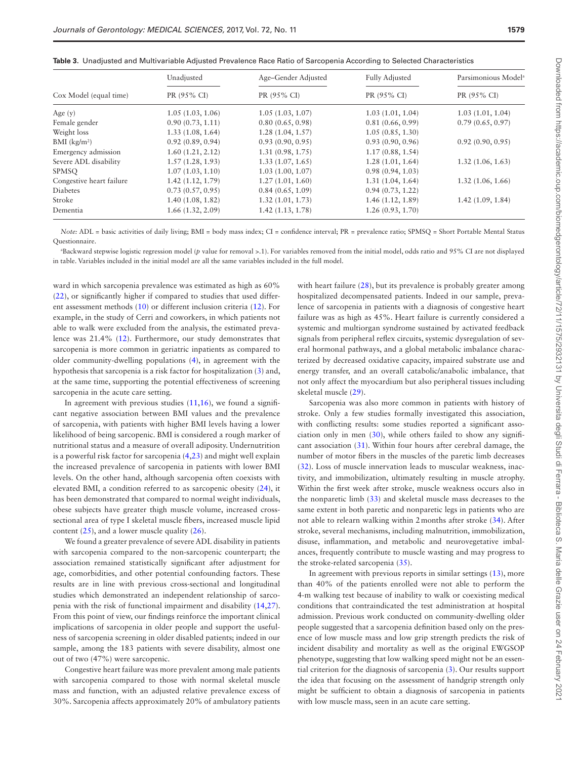<span id="page-4-0"></span>

|  | Table 3. Unadjusted and Multivariable Adjusted Prevalence Race Ratio of Sarcopenia According to Selected Characteristics |  |
|--|--------------------------------------------------------------------------------------------------------------------------|--|
|  |                                                                                                                          |  |

|                            | Unadjusted       | Age-Gender Adjusted | Fully Adjusted   | Parsimonious Model<br>PR (95% CI) |  |
|----------------------------|------------------|---------------------|------------------|-----------------------------------|--|
| Cox Model (equal time)     | PR (95% CI)      | PR (95% CI)         | PR (95% CI)      |                                   |  |
| Age $(y)$                  | 1.05(1.03, 1.06) | 1.05(1.03, 1.07)    | 1.03(1.01, 1.04) | 1.03(1.01, 1.04)                  |  |
| Female gender              | 0.90(0.73, 1.11) | 0.80(0.65, 0.98)    | 0.81(0.66, 0.99) | 0.79(0.65, 0.97)                  |  |
| Weight loss                | 1.33(1.08, 1.64) | 1.28(1.04, 1.57)    | 1.05(0.85, 1.30) |                                   |  |
| $BMI$ (kg/m <sup>2</sup> ) | 0.92(0.89, 0.94) | 0.93(0.90, 0.95)    | 0.93(0.90, 0.96) | 0.92(0.90, 0.95)                  |  |
| Emergency admission        | 1.60(1.21, 2.12) | 1.31(0.98, 1.75)    | 1.17(0.88, 1.54) |                                   |  |
| Severe ADL disability      | 1.57(1.28, 1.93) | 1.33(1.07, 1.65)    | 1.28(1.01, 1.64) | 1.32(1.06, 1.63)                  |  |
| <b>SPMSO</b>               | 1.07(1.03, 1.10) | 1.03(1.00, 1.07)    | 0.98(0.94, 1.03) |                                   |  |
| Congestive heart failure   | 1.42(1.12, 1.79) | 1.27(1.01, 1.60)    | 1.31(1.04, 1.64) | 1.32(1.06, 1.66)                  |  |
| Diabetes                   | 0.73(0.57, 0.95) | 0.84(0.65, 1.09)    | 0.94(0.73, 1.22) |                                   |  |
| Stroke                     | 1.40(1.08, 1.82) | 1.32(1.01, 1.73)    | 1.46(1.12, 1.89) | 1.42(1.09, 1.84)                  |  |
| Dementia                   | 1.66(1.32, 2.09) | 1.42(1.13, 1.78)    | 1.26(0.93, 1.70) |                                   |  |

*Note:* ADL = basic activities of daily living; BMI = body mass index; CI = confidence interval; PR = prevalence ratio; SPMSQ = Short Portable Mental Status Questionnaire.

a Backward stepwise logistic regression model (*p* value for removal >.1). For variables removed from the initial model, odds ratio and 95% CI are not displayed in table. Variables included in the initial model are all the same variables included in the full model.

ward in which sarcopenia prevalence was estimated as high as 60% [\(22](#page-5-21)), or significantly higher if compared to studies that used different assessment methods ([10\)](#page-5-9) or different inclusion criteria ([12\)](#page-5-11). For example, in the study of Cerri and coworkers, in which patients not able to walk were excluded from the analysis, the estimated prevalence was 21.4% ([12\)](#page-5-11). Furthermore, our study demonstrates that sarcopenia is more common in geriatric inpatients as compared to older community-dwelling populations [\(4\)](#page-5-3), in agreement with the hypothesis that sarcopenia is a risk factor for hospitalization ([3](#page-5-2)) and, at the same time, supporting the potential effectiveness of screening sarcopenia in the acute care setting.

In agreement with previous studies  $(11,16)$  $(11,16)$  $(11,16)$ , we found a significant negative association between BMI values and the prevalence of sarcopenia, with patients with higher BMI levels having a lower likelihood of being sarcopenic. BMI is considered a rough marker of nutritional status and a measure of overall adiposity. Undernutrition is a powerful risk factor for sarcopenia ([4](#page-5-3)[,23](#page-5-22)) and might well explain the increased prevalence of sarcopenia in patients with lower BMI levels. On the other hand, although sarcopenia often coexists with elevated BMI, a condition referred to as sarcopenic obesity [\(24](#page-5-23)), it has been demonstrated that compared to normal weight individuals, obese subjects have greater thigh muscle volume, increased crosssectional area of type I skeletal muscle fibers, increased muscle lipid content [\(25](#page-5-24)), and a lower muscle quality ([26\)](#page-6-0).

We found a greater prevalence of severe ADL disability in patients with sarcopenia compared to the non-sarcopenic counterpart; the association remained statistically significant after adjustment for age, comorbidities, and other potential confounding factors. These results are in line with previous cross-sectional and longitudinal studies which demonstrated an independent relationship of sarcopenia with the risk of functional impairment and disability [\(14](#page-5-13)[,27](#page-6-1)). From this point of view, our findings reinforce the important clinical implications of sarcopenia in older people and support the usefulness of sarcopenia screening in older disabled patients; indeed in our sample, among the 183 patients with severe disability, almost one out of two (47%) were sarcopenic.

Congestive heart failure was more prevalent among male patients with sarcopenia compared to those with normal skeletal muscle mass and function, with an adjusted relative prevalence excess of 30%. Sarcopenia affects approximately 20% of ambulatory patients

with heart failure ([28](#page-6-2)), but its prevalence is probably greater among hospitalized decompensated patients. Indeed in our sample, prevalence of sarcopenia in patients with a diagnosis of congestive heart failure was as high as 45%. Heart failure is currently considered a systemic and multiorgan syndrome sustained by activated feedback signals from peripheral reflex circuits, systemic dysregulation of several hormonal pathways, and a global metabolic imbalance characterized by decreased oxidative capacity, impaired substrate use and energy transfer, and an overall catabolic/anabolic imbalance, that not only affect the myocardium but also peripheral tissues including skeletal muscle [\(29\)](#page-6-3).

Sarcopenia was also more common in patients with history of stroke. Only a few studies formally investigated this association, with conflicting results: some studies reported a significant association only in men [\(30\)](#page-6-4), while others failed to show any significant association ([31\)](#page-6-5). Within four hours after cerebral damage, the number of motor fibers in the muscles of the paretic limb decreases [\(32](#page-6-6)). Loss of muscle innervation leads to muscular weakness, inactivity, and immobilization, ultimately resulting in muscle atrophy. Within the first week after stroke, muscle weakness occurs also in the nonparetic limb ([33\)](#page-6-7) and skeletal muscle mass decreases to the same extent in both paretic and nonparetic legs in patients who are not able to relearn walking within 2months after stroke [\(34](#page-6-8)). After stroke, several mechanisms, including malnutrition, immobilization, disuse, inflammation, and metabolic and neurovegetative imbalances, frequently contribute to muscle wasting and may progress to the stroke-related sarcopenia [\(35\)](#page-6-9).

In agreement with previous reports in similar settings [\(13](#page-5-12)), more than 40% of the patients enrolled were not able to perform the 4-m walking test because of inability to walk or coexisting medical conditions that contraindicated the test administration at hospital admission. Previous work conducted on community-dwelling older people suggested that a sarcopenia definition based only on the presence of low muscle mass and low grip strength predicts the risk of incident disability and mortality as well as the original EWGSOP phenotype, suggesting that low walking speed might not be an essential criterion for the diagnosis of sarcopenia ([3](#page-5-2)). Our results support the idea that focusing on the assessment of handgrip strength only might be sufficient to obtain a diagnosis of sarcopenia in patients with low muscle mass, seen in an acute care setting.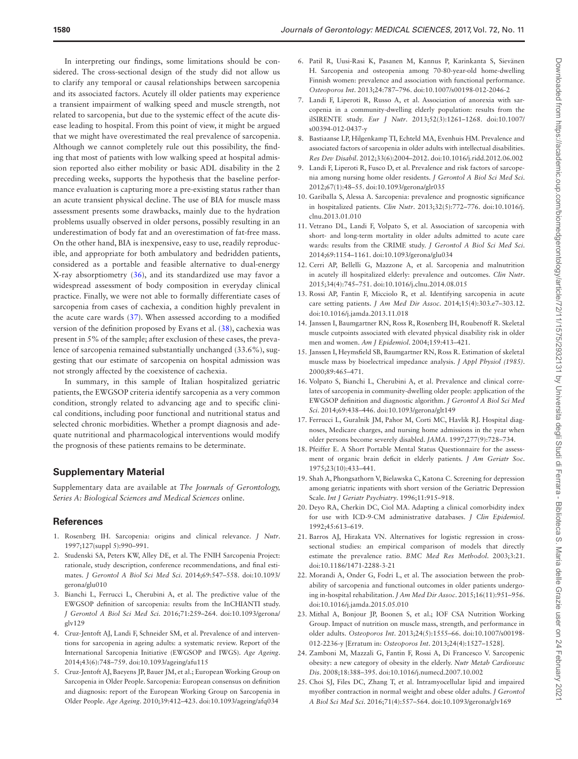In interpreting our findings, some limitations should be considered. The cross-sectional design of the study did not allow us to clarify any temporal or causal relationships between sarcopenia and its associated factors. Acutely ill older patients may experience a transient impairment of walking speed and muscle strength, not related to sarcopenia, but due to the systemic effect of the acute disease leading to hospital. From this point of view, it might be argued that we might have overestimated the real prevalence of sarcopenia. Although we cannot completely rule out this possibility, the finding that most of patients with low walking speed at hospital admission reported also either mobility or basic ADL disability in the 2 preceding weeks, supports the hypothesis that the baseline performance evaluation is capturing more a pre-existing status rather than an acute transient physical decline. The use of BIA for muscle mass assessment presents some drawbacks, mainly due to the hydration problems usually observed in older persons, possibly resulting in an underestimation of body fat and an overestimation of fat-free mass. On the other hand, BIA is inexpensive, easy to use, readily reproducible, and appropriate for both ambulatory and bedridden patients, considered as a portable and feasible alternative to dual-energy X-ray absorptiometry [\(36](#page-6-10)), and its standardized use may favor a widespread assessment of body composition in everyday clinical practice. Finally, we were not able to formally differentiate cases of sarcopenia from cases of cachexia, a condition highly prevalent in the acute care wards ([37](#page-6-11)). When assessed according to a modified version of the definition proposed by Evans et al. ([38\)](#page-6-12), cachexia was present in 5% of the sample; after exclusion of these cases, the prevalence of sarcopenia remained substantially unchanged (33.6%), suggesting that our estimate of sarcopenia on hospital admission was not strongly affected by the coexistence of cachexia.

In summary, in this sample of Italian hospitalized geriatric patients, the EWGSOP criteria identify sarcopenia as a very common condition, strongly related to advancing age and to specific clinical conditions, including poor functional and nutritional status and selected chronic morbidities. Whether a prompt diagnosis and adequate nutritional and pharmacological interventions would modify the prognosis of these patients remains to be determinate.

#### **Supplementary Material**

Supplementary data are available at *The Journals of Gerontology, Series A: Biological Sciences and Medical Sciences* online.

#### **References**

- <span id="page-5-0"></span>1. Rosenberg IH. Sarcopenia: origins and clinical relevance. *J Nutr*. 1997;127(suppl 5):990–991.
- <span id="page-5-1"></span>2. Studenski SA, Peters KW, Alley DE, et al. The FNIH Sarcopenia Project: rationale, study description, conference recommendations, and final estimates. *J Gerontol A Biol Sci Med Sci*. 2014;69:547–558. doi:10.1093/ gerona/glu010
- <span id="page-5-2"></span>3. Bianchi L, Ferrucci L, Cherubini A, et al. The predictive value of the EWGSOP definition of sarcopenia: results from the InCHIANTI study. *J Gerontol A Biol Sci Med Sci*. 2016;71:259–264. doi:10.1093/gerona/ glv129
- <span id="page-5-3"></span>4. Cruz-Jentoft AJ, Landi F, Schneider SM, et al. Prevalence of and interventions for sarcopenia in ageing adults: a systematic review. Report of the International Sarcopenia Initiative (EWGSOP and IWGS). *Age Ageing*. 2014;43(6):748–759. doi:10.1093/ageing/afu115
- <span id="page-5-4"></span>5. Cruz-Jentoft AJ, Baeyens JP, Bauer JM, et al.; European Working Group on Sarcopenia in Older People. Sarcopenia: European consensus on definition and diagnosis: report of the European Working Group on Sarcopenia in Older People. *Age Ageing*. 2010;39:412–423. doi:10.1093/ageing/afq034
- <span id="page-5-5"></span>6. Patil R, Uusi-Rasi K, Pasanen M, Kannus P, Karinkanta S, Sievänen H. Sarcopenia and osteopenia among 70-80-year-old home-dwelling Finnish women: prevalence and association with functional performance. *Osteoporos Int*. 2013;24:787–796. doi:10.1007/s00198-012-2046-2
- <span id="page-5-6"></span>7. Landi F, Liperoti R, Russo A, et al. Association of anorexia with sarcopenia in a community-dwelling elderly population: results from the ilSIRENTE study. *Eur J Nutr*. 2013;52(3):1261–1268. doi:10.1007/ s00394-012-0437-y
- <span id="page-5-7"></span>8. Bastiaanse LP, Hilgenkamp TI, Echteld MA, Evenhuis HM. Prevalence and associated factors of sarcopenia in older adults with intellectual disabilities. *Res Dev Disabil*. 2012;33(6):2004–2012. doi:10.1016/j.ridd.2012.06.002
- <span id="page-5-8"></span>9. Landi F, Liperoti R, Fusco D, et al. Prevalence and risk factors of sarcopenia among nursing home older residents. *J Gerontol A Biol Sci Med Sci*. 2012;67(1):48–55. doi:10.1093/gerona/glr035
- <span id="page-5-9"></span>10. Gariballa S, Alessa A. Sarcopenia: prevalence and prognostic significance in hospitalized patients. *Clin Nutr*. 2013;32(5):772–776. doi:10.1016/j. clnu.2013.01.010
- <span id="page-5-10"></span>11. Vetrano DL, Landi F, Volpato S, et al. Association of sarcopenia with short- and long-term mortality in older adults admitted to acute care wards: results from the CRIME study. *J Gerontol A Biol Sci Med Sci*. 2014;69:1154–1161. doi:10.1093/gerona/glu034
- <span id="page-5-11"></span>12. Cerri AP, Bellelli G, Mazzone A, et al. Sarcopenia and malnutrition in acutely ill hospitalized elderly: prevalence and outcomes. *Clin Nutr*. 2015;34(4):745–751. doi:10.1016/j.clnu.2014.08.015
- <span id="page-5-12"></span>13. Rossi AP, Fantin F, Micciolo R, et al. Identifying sarcopenia in acute care setting patients. *J Am Med Dir Assoc*. 2014;15(4):303.e7–303.12. doi:10.1016/j.jamda.2013.11.018
- <span id="page-5-13"></span>14. Janssen I, Baumgartner RN, Ross R, Rosenberg IH, Roubenoff R. Skeletal muscle cutpoints associated with elevated physical disability risk in older men and women. *Am J Epidemiol*. 2004;159:413–421.
- <span id="page-5-14"></span>15. Janssen I, Heymsfield SB, Baumgartner RN, Ross R. Estimation of skeletal muscle mass by bioelectrical impedance analysis. *J Appl Physiol (1985)*. 2000;89:465–471.
- <span id="page-5-15"></span>16. Volpato S, Bianchi L, Cherubini A, et al. Prevalence and clinical correlates of sarcopenia in community-dwelling older people: application of the EWGSOP definition and diagnostic algorithm. *J Gerontol A Biol Sci Med Sci*. 2014;69:438–446. doi:10.1093/gerona/glt149
- <span id="page-5-16"></span>17. Ferrucci L, Guralnik JM, Pahor M, Corti MC, Havlik RJ. Hospital diagnoses, Medicare charges, and nursing home admissions in the year when older persons become severely disabled. *JAMA*. 1997;277(9):728–734.
- <span id="page-5-17"></span>18. Pfeiffer E. A Short Portable Mental Status Questionnaire for the assessment of organic brain deficit in elderly patients. *J Am Geriatr Soc*. 1975;23(10):433–441.
- <span id="page-5-18"></span>19. Shah A, Phongsathorn V, Bielawska C, Katona C. Screening for depression among geriatric inpatients with short version of the Geriatric Depression Scale. *Int J Geriatr Psychiatry*. 1996;11:915–918.
- <span id="page-5-19"></span>20. Deyo RA, Cherkin DC, Ciol MA. Adapting a clinical comorbidity index for use with ICD-9-CM administrative databases. *J Clin Epidemiol*. 1992;45:613–619.
- <span id="page-5-20"></span>21. Barros AJ, Hirakata VN. Alternatives for logistic regression in crosssectional studies: an empirical comparison of models that directly estimate the prevalence ratio. *BMC Med Res Methodol*. 2003;3:21. doi:10.1186/1471-2288-3-21
- <span id="page-5-21"></span>22. Morandi A, Onder G, Fodri L, et al. The association between the probability of sarcopenia and functional outcomes in older patients undergoing in-hospital rehabilitation. *J Am Med Dir Assoc*. 2015;16(11):951–956. doi:10.1016/j.jamda.2015.05.010
- <span id="page-5-22"></span>23. Mithal A, Bonjour JP, Boonen S, et al.; IOF CSA Nutrition Working Group. Impact of nutrition on muscle mass, strength, and performance in older adults. *Osteoporos Int*. 2013;24(5):1555–66. doi:10.1007/s00198- 012-2236-y [Erratum in: *Osteoporos Int*. 2013;24(4):1527–1528].
- <span id="page-5-23"></span>24. Zamboni M, Mazzali G, Fantin F, Rossi A, Di Francesco V. Sarcopenic obesity: a new category of obesity in the elderly. *Nutr Metab Cardiovasc Dis*. 2008;18:388–395. doi:10.1016/j.numecd.2007.10.002
- <span id="page-5-24"></span>25. Choi SJ, Files DC, Zhang T, et al. Intramyocellular lipid and impaired myofiber contraction in normal weight and obese older adults. *J Gerontol A Biol Sci Med Sci*. 2016;71(4):557–564. doi:10.1093/gerona/glv169